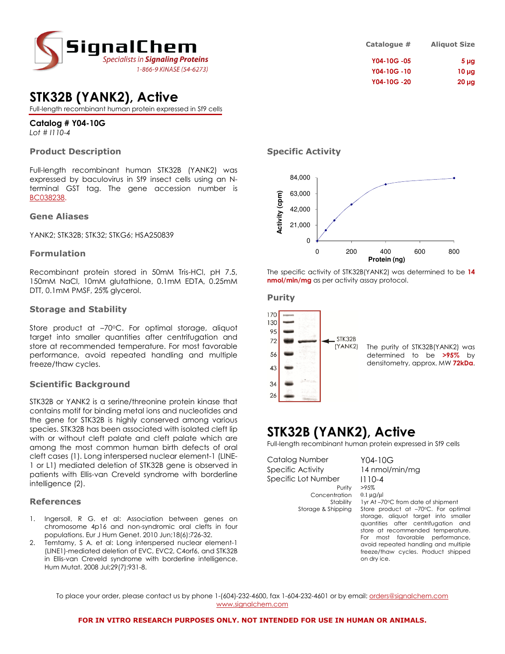

## STK32B (YANK2), Active

Full-length recombinant human protein expressed in Sf9 cells

## Catalog # Y04-10G

Lot # I110-4

## Product Description

Full-length recombinant human STK32B (YANK2) was expressed by baculovirus in Sf9 insect cells using an Nterminal GST tag. The gene accession number is BC038238.

#### Gene Aliases

YANK2; STK32B; STK32; STKG6; HSA250839

### Formulation

Recombinant protein stored in 50mM Tris-HCl, pH 7.5, 150mM NaCl, 10mM glutathione, 0.1mM EDTA, 0.25mM DTT, 0.1mM PMSF, 25% glycerol.

### Storage and Stability

Store product at -70°C. For optimal storage, aliquot target into smaller quantities after centrifugation and store at recommended temperature. For most favorable performance, avoid repeated handling and multiple freeze/thaw cycles.

## Scientific Background

STK32B or YANK2 is a serine/threonine protein kinase that contains motif for binding metal ions and nucleotides and the gene for STK32B is highly conserved among various species. STK32B has been associated with isolated cleft lip with or without cleft palate and cleft palate which are among the most common human birth defects of oral cleft cases (1). Long interspersed nuclear element-1 (LINE-1 or L1) mediated deletion of STK32B gene is observed in patients with Ellis-van Creveld syndrome with borderline intelligence (2).

### References

- 1. Ingersoll, R G. et al: Association between genes on chromosome 4p16 and non-syndromic oral clefts in four populations. Eur J Hum Genet. 2010 Jun;18(6):726-32.
- 2. Temtamy, S A. et al: Long interspersed nuclear element-1 (LINE1)-mediated deletion of EVC, EVC2, C4orf6, and STK32B in Ellis-van Creveld syndrome with borderline intelligence. Hum Mutat. 2008 Jul;29(7):931-8.

| Catalogue # | <b>Aliquot Size</b> |
|-------------|---------------------|
| Y04-10G-05  | 5 <sub>µq</sub>     |
| Y04-10G-10  | $10 \mu g$          |
| Y04-10G-20  | $20 \mu g$          |

## Specific Activity



The specific activity of STK32B(YANK2) was determined to be 14 nmol/min/mg as per activity assay protocol.

#### Purity



The purity of STK32B(YANK2) was determined to be >95% by densitometry, approx. MW 72kDa.

## STK32B (YANK2), Active

Full-length recombinant human protein expressed in Sf9 cells

Catalog Number Y04-10G Specific Activity 14 nmol/min/mg Specific Lot Number | 110-4 Concentration

Purity >95%<br>ration 0.1 µg/µl Stability 1yr At –70°C from date of shipment Storage & Shipping Store product at -70°C. For optimal storage, aliquot target into smaller quantities after centrifugation and store at recommended temperature. For most favorable performance, avoid repeated handling and multiple freeze/thaw cycles. Product shipped on dry ice.

To place your order, please contact us by phone 1-(604)-232-4600, fax 1-604-232-4601 or by email: *orders@signalchem.com* www.signalchem.com